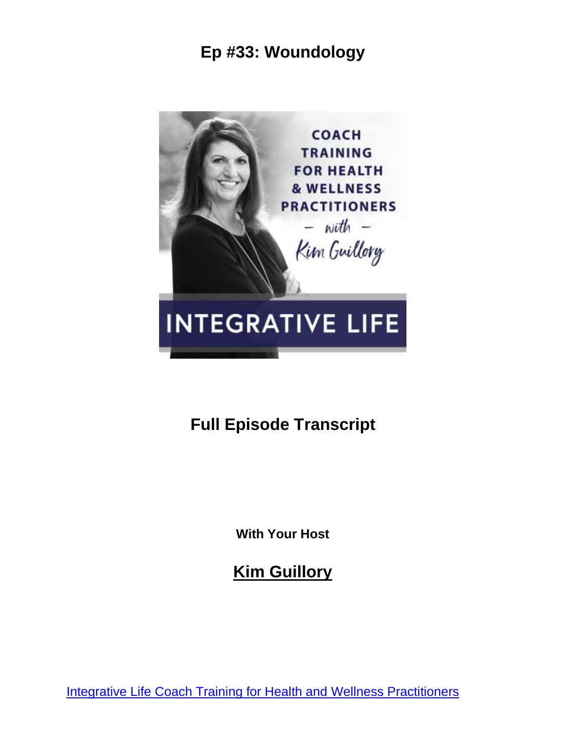

**Full Episode Transcript**

**With Your Host**

**Kim Guillory**

[Integrative Life Coach Training for Health and Wellness Practitioners](https://kimguillory.com/podcast)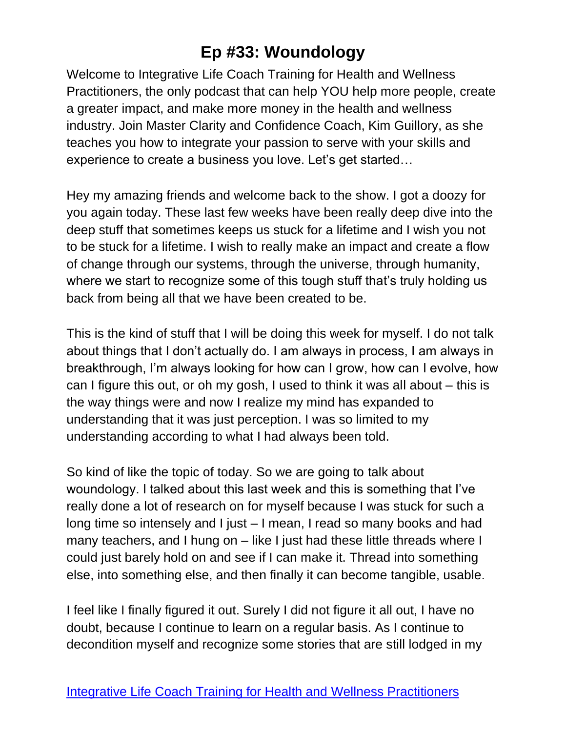Welcome to Integrative Life Coach Training for Health and Wellness Practitioners, the only podcast that can help YOU help more people, create a greater impact, and make more money in the health and wellness industry. Join Master Clarity and Confidence Coach, Kim Guillory, as she teaches you how to integrate your passion to serve with your skills and experience to create a business you love. Let's get started…

Hey my amazing friends and welcome back to the show. I got a doozy for you again today. These last few weeks have been really deep dive into the deep stuff that sometimes keeps us stuck for a lifetime and I wish you not to be stuck for a lifetime. I wish to really make an impact and create a flow of change through our systems, through the universe, through humanity, where we start to recognize some of this tough stuff that's truly holding us back from being all that we have been created to be.

This is the kind of stuff that I will be doing this week for myself. I do not talk about things that I don't actually do. I am always in process, I am always in breakthrough, I'm always looking for how can I grow, how can I evolve, how can I figure this out, or oh my gosh, I used to think it was all about – this is the way things were and now I realize my mind has expanded to understanding that it was just perception. I was so limited to my understanding according to what I had always been told.

So kind of like the topic of today. So we are going to talk about woundology. I talked about this last week and this is something that I've really done a lot of research on for myself because I was stuck for such a long time so intensely and I just – I mean, I read so many books and had many teachers, and I hung on – like I just had these little threads where I could just barely hold on and see if I can make it. Thread into something else, into something else, and then finally it can become tangible, usable.

I feel like I finally figured it out. Surely I did not figure it all out, I have no doubt, because I continue to learn on a regular basis. As I continue to decondition myself and recognize some stories that are still lodged in my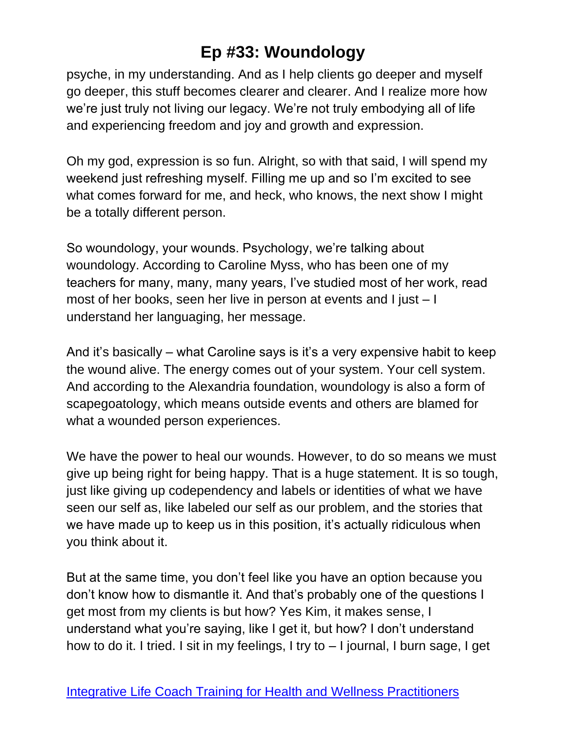psyche, in my understanding. And as I help clients go deeper and myself go deeper, this stuff becomes clearer and clearer. And I realize more how we're just truly not living our legacy. We're not truly embodying all of life and experiencing freedom and joy and growth and expression.

Oh my god, expression is so fun. Alright, so with that said, I will spend my weekend just refreshing myself. Filling me up and so I'm excited to see what comes forward for me, and heck, who knows, the next show I might be a totally different person.

So woundology, your wounds. Psychology, we're talking about woundology. According to Caroline Myss, who has been one of my teachers for many, many, many years, I've studied most of her work, read most of her books, seen her live in person at events and I just – I understand her languaging, her message.

And it's basically – what Caroline says is it's a very expensive habit to keep the wound alive. The energy comes out of your system. Your cell system. And according to the Alexandria foundation, woundology is also a form of scapegoatology, which means outside events and others are blamed for what a wounded person experiences.

We have the power to heal our wounds. However, to do so means we must give up being right for being happy. That is a huge statement. It is so tough, just like giving up codependency and labels or identities of what we have seen our self as, like labeled our self as our problem, and the stories that we have made up to keep us in this position, it's actually ridiculous when you think about it.

But at the same time, you don't feel like you have an option because you don't know how to dismantle it. And that's probably one of the questions I get most from my clients is but how? Yes Kim, it makes sense, I understand what you're saying, like I get it, but how? I don't understand how to do it. I tried. I sit in my feelings, I try to – I journal, I burn sage, I get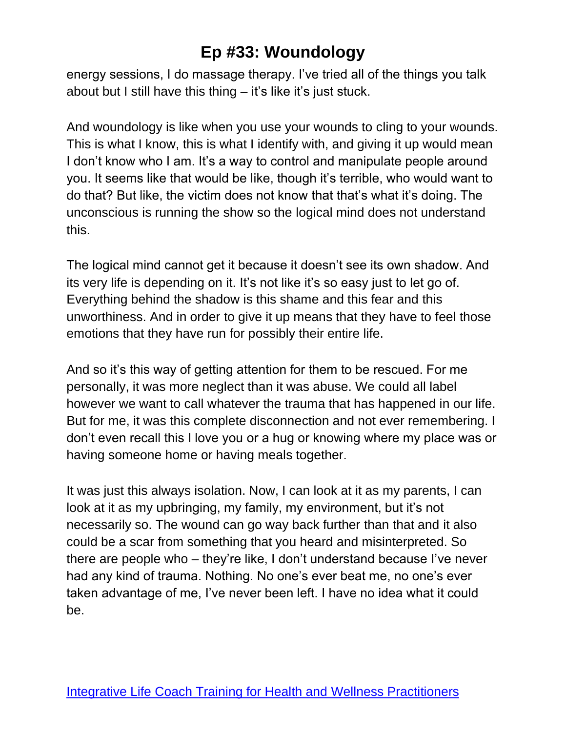energy sessions, I do massage therapy. I've tried all of the things you talk about but I still have this thing – it's like it's just stuck.

And woundology is like when you use your wounds to cling to your wounds. This is what I know, this is what I identify with, and giving it up would mean I don't know who I am. It's a way to control and manipulate people around you. It seems like that would be like, though it's terrible, who would want to do that? But like, the victim does not know that that's what it's doing. The unconscious is running the show so the logical mind does not understand this.

The logical mind cannot get it because it doesn't see its own shadow. And its very life is depending on it. It's not like it's so easy just to let go of. Everything behind the shadow is this shame and this fear and this unworthiness. And in order to give it up means that they have to feel those emotions that they have run for possibly their entire life.

And so it's this way of getting attention for them to be rescued. For me personally, it was more neglect than it was abuse. We could all label however we want to call whatever the trauma that has happened in our life. But for me, it was this complete disconnection and not ever remembering. I don't even recall this I love you or a hug or knowing where my place was or having someone home or having meals together.

It was just this always isolation. Now, I can look at it as my parents, I can look at it as my upbringing, my family, my environment, but it's not necessarily so. The wound can go way back further than that and it also could be a scar from something that you heard and misinterpreted. So there are people who – they're like, I don't understand because I've never had any kind of trauma. Nothing. No one's ever beat me, no one's ever taken advantage of me, I've never been left. I have no idea what it could be.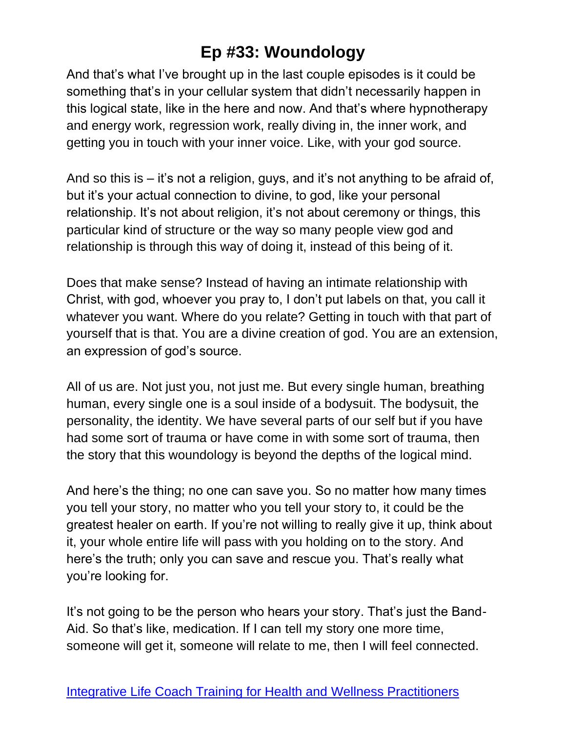And that's what I've brought up in the last couple episodes is it could be something that's in your cellular system that didn't necessarily happen in this logical state, like in the here and now. And that's where hypnotherapy and energy work, regression work, really diving in, the inner work, and getting you in touch with your inner voice. Like, with your god source.

And so this is – it's not a religion, guys, and it's not anything to be afraid of, but it's your actual connection to divine, to god, like your personal relationship. It's not about religion, it's not about ceremony or things, this particular kind of structure or the way so many people view god and relationship is through this way of doing it, instead of this being of it.

Does that make sense? Instead of having an intimate relationship with Christ, with god, whoever you pray to, I don't put labels on that, you call it whatever you want. Where do you relate? Getting in touch with that part of yourself that is that. You are a divine creation of god. You are an extension, an expression of god's source.

All of us are. Not just you, not just me. But every single human, breathing human, every single one is a soul inside of a bodysuit. The bodysuit, the personality, the identity. We have several parts of our self but if you have had some sort of trauma or have come in with some sort of trauma, then the story that this woundology is beyond the depths of the logical mind.

And here's the thing; no one can save you. So no matter how many times you tell your story, no matter who you tell your story to, it could be the greatest healer on earth. If you're not willing to really give it up, think about it, your whole entire life will pass with you holding on to the story. And here's the truth; only you can save and rescue you. That's really what you're looking for.

It's not going to be the person who hears your story. That's just the Band-Aid. So that's like, medication. If I can tell my story one more time, someone will get it, someone will relate to me, then I will feel connected.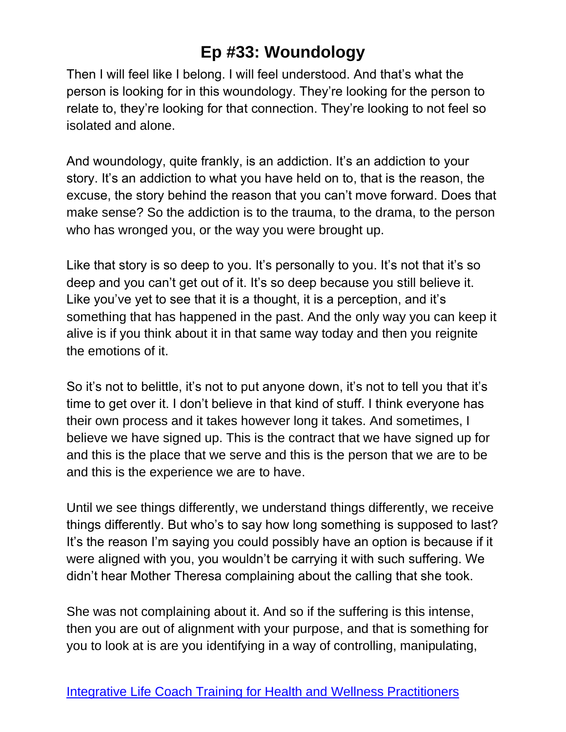Then I will feel like I belong. I will feel understood. And that's what the person is looking for in this woundology. They're looking for the person to relate to, they're looking for that connection. They're looking to not feel so isolated and alone.

And woundology, quite frankly, is an addiction. It's an addiction to your story. It's an addiction to what you have held on to, that is the reason, the excuse, the story behind the reason that you can't move forward. Does that make sense? So the addiction is to the trauma, to the drama, to the person who has wronged you, or the way you were brought up.

Like that story is so deep to you. It's personally to you. It's not that it's so deep and you can't get out of it. It's so deep because you still believe it. Like you've yet to see that it is a thought, it is a perception, and it's something that has happened in the past. And the only way you can keep it alive is if you think about it in that same way today and then you reignite the emotions of it.

So it's not to belittle, it's not to put anyone down, it's not to tell you that it's time to get over it. I don't believe in that kind of stuff. I think everyone has their own process and it takes however long it takes. And sometimes, I believe we have signed up. This is the contract that we have signed up for and this is the place that we serve and this is the person that we are to be and this is the experience we are to have.

Until we see things differently, we understand things differently, we receive things differently. But who's to say how long something is supposed to last? It's the reason I'm saying you could possibly have an option is because if it were aligned with you, you wouldn't be carrying it with such suffering. We didn't hear Mother Theresa complaining about the calling that she took.

She was not complaining about it. And so if the suffering is this intense, then you are out of alignment with your purpose, and that is something for you to look at is are you identifying in a way of controlling, manipulating,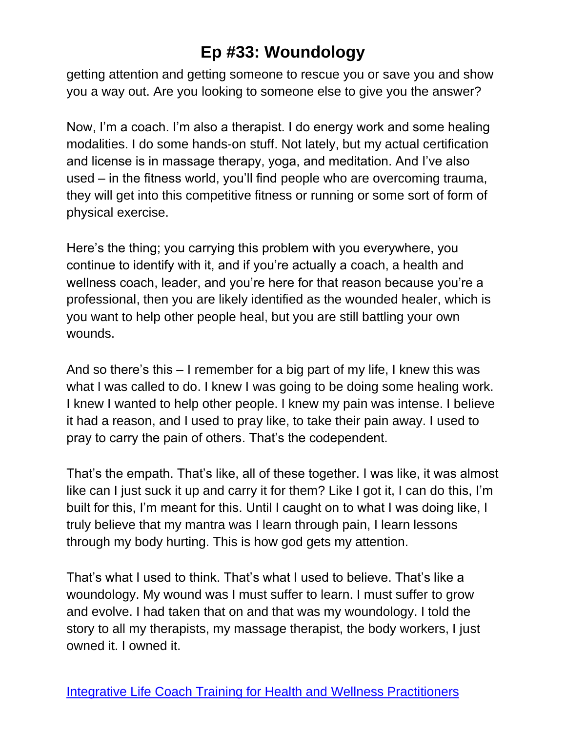getting attention and getting someone to rescue you or save you and show you a way out. Are you looking to someone else to give you the answer?

Now, I'm a coach. I'm also a therapist. I do energy work and some healing modalities. I do some hands-on stuff. Not lately, but my actual certification and license is in massage therapy, yoga, and meditation. And I've also used – in the fitness world, you'll find people who are overcoming trauma, they will get into this competitive fitness or running or some sort of form of physical exercise.

Here's the thing; you carrying this problem with you everywhere, you continue to identify with it, and if you're actually a coach, a health and wellness coach, leader, and you're here for that reason because you're a professional, then you are likely identified as the wounded healer, which is you want to help other people heal, but you are still battling your own wounds.

And so there's this – I remember for a big part of my life, I knew this was what I was called to do. I knew I was going to be doing some healing work. I knew I wanted to help other people. I knew my pain was intense. I believe it had a reason, and I used to pray like, to take their pain away. I used to pray to carry the pain of others. That's the codependent.

That's the empath. That's like, all of these together. I was like, it was almost like can I just suck it up and carry it for them? Like I got it, I can do this, I'm built for this, I'm meant for this. Until I caught on to what I was doing like, I truly believe that my mantra was I learn through pain, I learn lessons through my body hurting. This is how god gets my attention.

That's what I used to think. That's what I used to believe. That's like a woundology. My wound was I must suffer to learn. I must suffer to grow and evolve. I had taken that on and that was my woundology. I told the story to all my therapists, my massage therapist, the body workers, I just owned it. I owned it.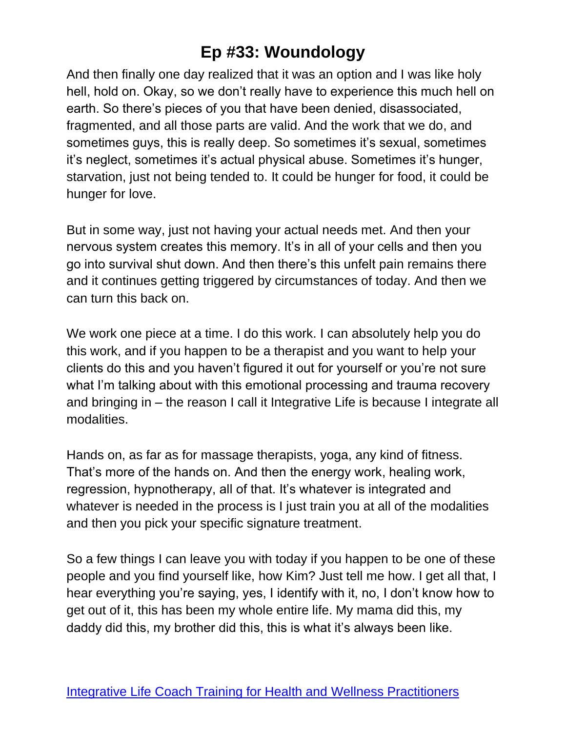And then finally one day realized that it was an option and I was like holy hell, hold on. Okay, so we don't really have to experience this much hell on earth. So there's pieces of you that have been denied, disassociated, fragmented, and all those parts are valid. And the work that we do, and sometimes guys, this is really deep. So sometimes it's sexual, sometimes it's neglect, sometimes it's actual physical abuse. Sometimes it's hunger, starvation, just not being tended to. It could be hunger for food, it could be hunger for love.

But in some way, just not having your actual needs met. And then your nervous system creates this memory. It's in all of your cells and then you go into survival shut down. And then there's this unfelt pain remains there and it continues getting triggered by circumstances of today. And then we can turn this back on.

We work one piece at a time. I do this work. I can absolutely help you do this work, and if you happen to be a therapist and you want to help your clients do this and you haven't figured it out for yourself or you're not sure what I'm talking about with this emotional processing and trauma recovery and bringing in – the reason I call it Integrative Life is because I integrate all modalities.

Hands on, as far as for massage therapists, yoga, any kind of fitness. That's more of the hands on. And then the energy work, healing work, regression, hypnotherapy, all of that. It's whatever is integrated and whatever is needed in the process is I just train you at all of the modalities and then you pick your specific signature treatment.

So a few things I can leave you with today if you happen to be one of these people and you find yourself like, how Kim? Just tell me how. I get all that, I hear everything you're saying, yes, I identify with it, no, I don't know how to get out of it, this has been my whole entire life. My mama did this, my daddy did this, my brother did this, this is what it's always been like.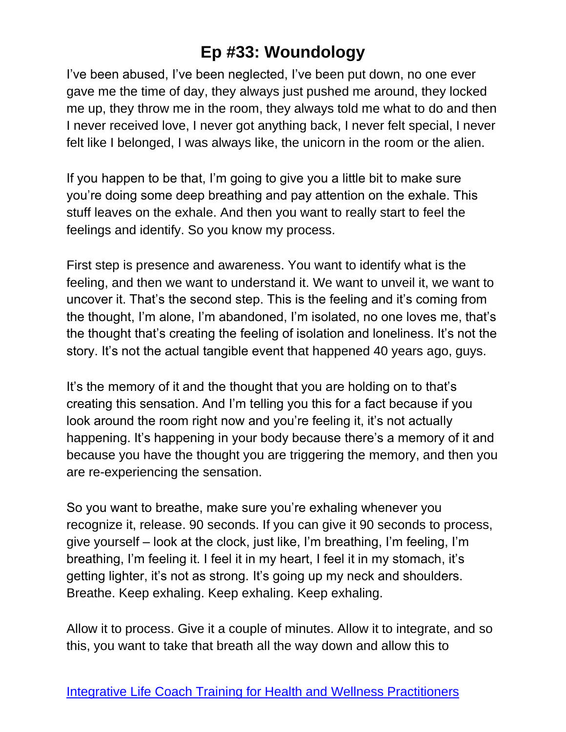I've been abused, I've been neglected, I've been put down, no one ever gave me the time of day, they always just pushed me around, they locked me up, they throw me in the room, they always told me what to do and then I never received love, I never got anything back, I never felt special, I never felt like I belonged, I was always like, the unicorn in the room or the alien.

If you happen to be that, I'm going to give you a little bit to make sure you're doing some deep breathing and pay attention on the exhale. This stuff leaves on the exhale. And then you want to really start to feel the feelings and identify. So you know my process.

First step is presence and awareness. You want to identify what is the feeling, and then we want to understand it. We want to unveil it, we want to uncover it. That's the second step. This is the feeling and it's coming from the thought, I'm alone, I'm abandoned, I'm isolated, no one loves me, that's the thought that's creating the feeling of isolation and loneliness. It's not the story. It's not the actual tangible event that happened 40 years ago, guys.

It's the memory of it and the thought that you are holding on to that's creating this sensation. And I'm telling you this for a fact because if you look around the room right now and you're feeling it, it's not actually happening. It's happening in your body because there's a memory of it and because you have the thought you are triggering the memory, and then you are re-experiencing the sensation.

So you want to breathe, make sure you're exhaling whenever you recognize it, release. 90 seconds. If you can give it 90 seconds to process, give yourself – look at the clock, just like, I'm breathing, I'm feeling, I'm breathing, I'm feeling it. I feel it in my heart, I feel it in my stomach, it's getting lighter, it's not as strong. It's going up my neck and shoulders. Breathe. Keep exhaling. Keep exhaling. Keep exhaling.

Allow it to process. Give it a couple of minutes. Allow it to integrate, and so this, you want to take that breath all the way down and allow this to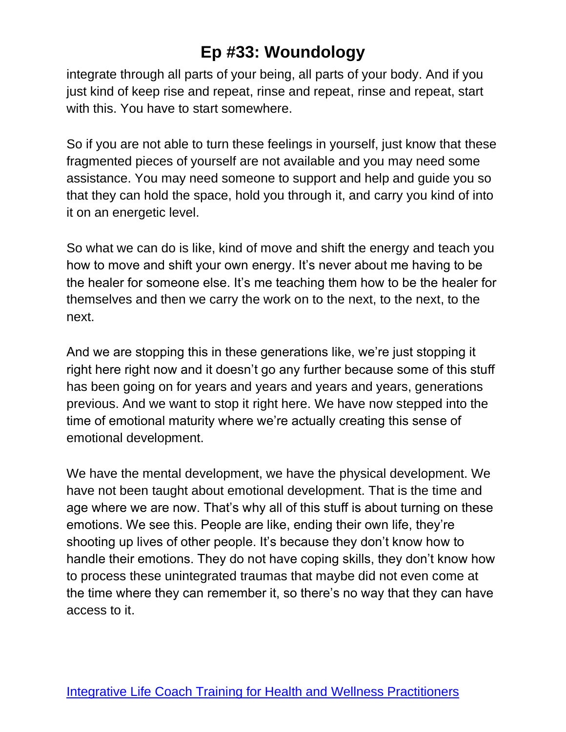integrate through all parts of your being, all parts of your body. And if you just kind of keep rise and repeat, rinse and repeat, rinse and repeat, start with this. You have to start somewhere.

So if you are not able to turn these feelings in yourself, just know that these fragmented pieces of yourself are not available and you may need some assistance. You may need someone to support and help and guide you so that they can hold the space, hold you through it, and carry you kind of into it on an energetic level.

So what we can do is like, kind of move and shift the energy and teach you how to move and shift your own energy. It's never about me having to be the healer for someone else. It's me teaching them how to be the healer for themselves and then we carry the work on to the next, to the next, to the next.

And we are stopping this in these generations like, we're just stopping it right here right now and it doesn't go any further because some of this stuff has been going on for years and years and years and years, generations previous. And we want to stop it right here. We have now stepped into the time of emotional maturity where we're actually creating this sense of emotional development.

We have the mental development, we have the physical development. We have not been taught about emotional development. That is the time and age where we are now. That's why all of this stuff is about turning on these emotions. We see this. People are like, ending their own life, they're shooting up lives of other people. It's because they don't know how to handle their emotions. They do not have coping skills, they don't know how to process these unintegrated traumas that maybe did not even come at the time where they can remember it, so there's no way that they can have access to it.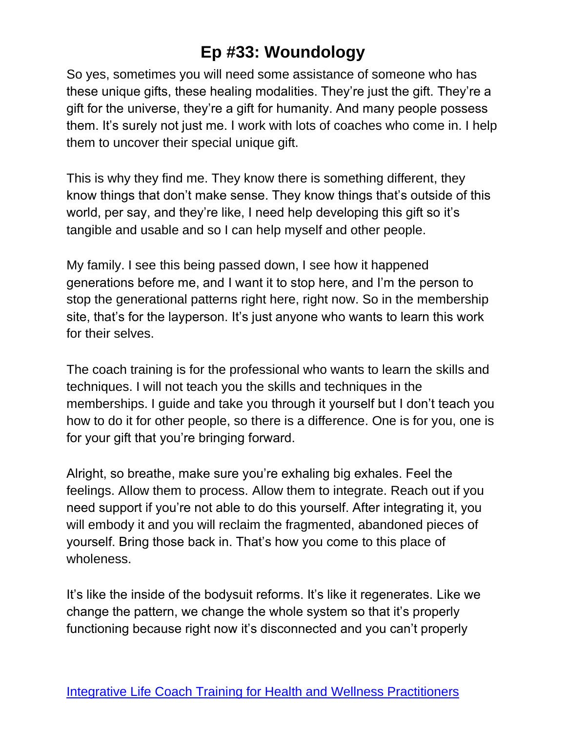So yes, sometimes you will need some assistance of someone who has these unique gifts, these healing modalities. They're just the gift. They're a gift for the universe, they're a gift for humanity. And many people possess them. It's surely not just me. I work with lots of coaches who come in. I help them to uncover their special unique gift.

This is why they find me. They know there is something different, they know things that don't make sense. They know things that's outside of this world, per say, and they're like, I need help developing this gift so it's tangible and usable and so I can help myself and other people.

My family. I see this being passed down, I see how it happened generations before me, and I want it to stop here, and I'm the person to stop the generational patterns right here, right now. So in the membership site, that's for the layperson. It's just anyone who wants to learn this work for their selves.

The coach training is for the professional who wants to learn the skills and techniques. I will not teach you the skills and techniques in the memberships. I guide and take you through it yourself but I don't teach you how to do it for other people, so there is a difference. One is for you, one is for your gift that you're bringing forward.

Alright, so breathe, make sure you're exhaling big exhales. Feel the feelings. Allow them to process. Allow them to integrate. Reach out if you need support if you're not able to do this yourself. After integrating it, you will embody it and you will reclaim the fragmented, abandoned pieces of yourself. Bring those back in. That's how you come to this place of wholeness.

It's like the inside of the bodysuit reforms. It's like it regenerates. Like we change the pattern, we change the whole system so that it's properly functioning because right now it's disconnected and you can't properly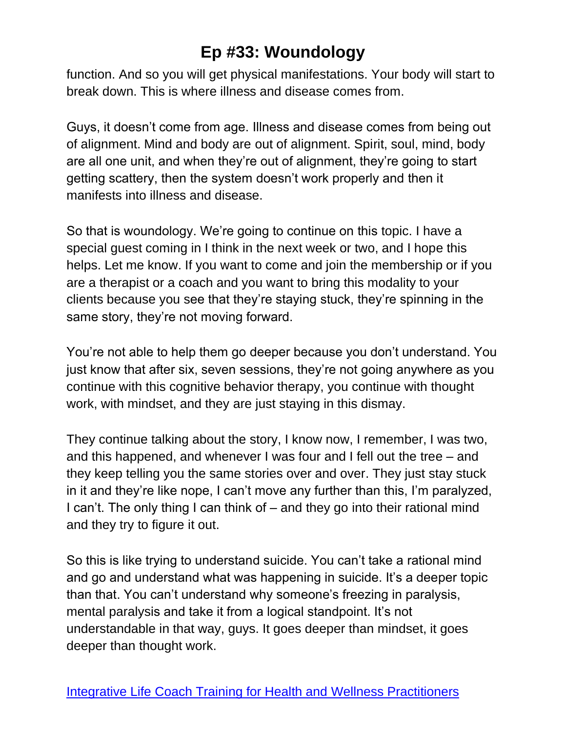function. And so you will get physical manifestations. Your body will start to break down. This is where illness and disease comes from.

Guys, it doesn't come from age. Illness and disease comes from being out of alignment. Mind and body are out of alignment. Spirit, soul, mind, body are all one unit, and when they're out of alignment, they're going to start getting scattery, then the system doesn't work properly and then it manifests into illness and disease.

So that is woundology. We're going to continue on this topic. I have a special guest coming in I think in the next week or two, and I hope this helps. Let me know. If you want to come and join the membership or if you are a therapist or a coach and you want to bring this modality to your clients because you see that they're staying stuck, they're spinning in the same story, they're not moving forward.

You're not able to help them go deeper because you don't understand. You just know that after six, seven sessions, they're not going anywhere as you continue with this cognitive behavior therapy, you continue with thought work, with mindset, and they are just staying in this dismay.

They continue talking about the story, I know now, I remember, I was two, and this happened, and whenever I was four and I fell out the tree – and they keep telling you the same stories over and over. They just stay stuck in it and they're like nope, I can't move any further than this, I'm paralyzed, I can't. The only thing I can think of – and they go into their rational mind and they try to figure it out.

So this is like trying to understand suicide. You can't take a rational mind and go and understand what was happening in suicide. It's a deeper topic than that. You can't understand why someone's freezing in paralysis, mental paralysis and take it from a logical standpoint. It's not understandable in that way, guys. It goes deeper than mindset, it goes deeper than thought work.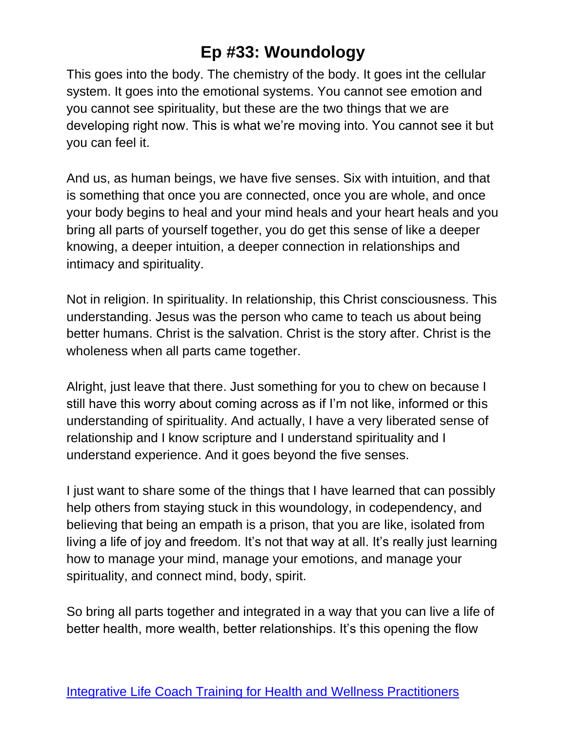This goes into the body. The chemistry of the body. It goes int the cellular system. It goes into the emotional systems. You cannot see emotion and you cannot see spirituality, but these are the two things that we are developing right now. This is what we're moving into. You cannot see it but you can feel it.

And us, as human beings, we have five senses. Six with intuition, and that is something that once you are connected, once you are whole, and once your body begins to heal and your mind heals and your heart heals and you bring all parts of yourself together, you do get this sense of like a deeper knowing, a deeper intuition, a deeper connection in relationships and intimacy and spirituality.

Not in religion. In spirituality. In relationship, this Christ consciousness. This understanding. Jesus was the person who came to teach us about being better humans. Christ is the salvation. Christ is the story after. Christ is the wholeness when all parts came together.

Alright, just leave that there. Just something for you to chew on because I still have this worry about coming across as if I'm not like, informed or this understanding of spirituality. And actually, I have a very liberated sense of relationship and I know scripture and I understand spirituality and I understand experience. And it goes beyond the five senses.

I just want to share some of the things that I have learned that can possibly help others from staying stuck in this woundology, in codependency, and believing that being an empath is a prison, that you are like, isolated from living a life of joy and freedom. It's not that way at all. It's really just learning how to manage your mind, manage your emotions, and manage your spirituality, and connect mind, body, spirit.

So bring all parts together and integrated in a way that you can live a life of better health, more wealth, better relationships. It's this opening the flow